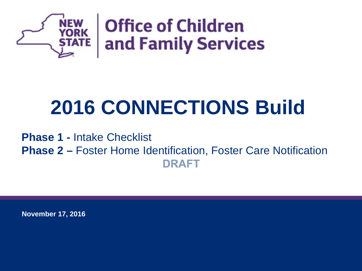

# **2016 CONNECTIONS Build**

**Phase 1 -** Intake Checklist **Phase 2 –** Foster Home Identification, Foster Care NotificationDRAFT

**November 17, 2016**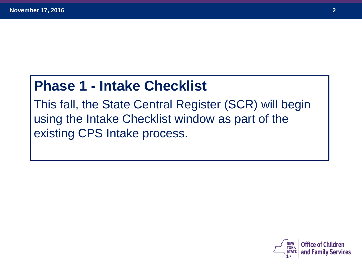## **Phase 1 - Intake Checklist**

This fall, the State Central Register (SCR) will begin using the Intake Checklist window as part of the existing CPS Intake process.

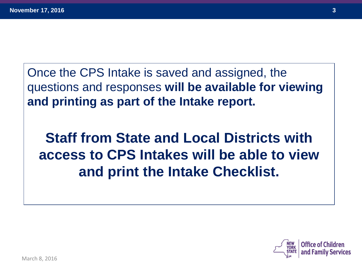Once the CPS Intake is saved and assigned, the questions and responses **will be available for viewing and printing as part of the Intake report.** 

**Staff from State and Local Districts with access to CPS Intakes will be able to view and print the Intake Checklist.** 

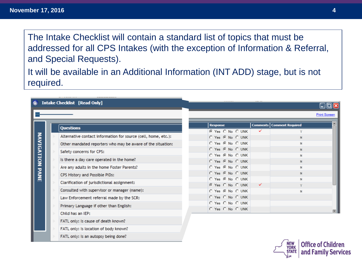The Intake Checklist will contain a standard list of topics that must be addressed for all CPS Intakes (with the exception of Information & Referral, and Special Requests).

It will be available in an Additional Information (INT ADD) stage, but is not required.

|                        | <b>Intake Checklist [Read Only]</b>                            |                                      |   |                             | $\Box$ o $\overline{\mathbf{x}}$ |
|------------------------|----------------------------------------------------------------|--------------------------------------|---|-----------------------------|----------------------------------|
|                        |                                                                |                                      |   |                             | <b>Print Screen</b>              |
|                        | <b>Questions</b>                                               | <b>Response</b>                      |   | Comments   Comment Required |                                  |
|                        |                                                                | © Yes C No C UNK                     | ✓ |                             |                                  |
|                        | Alternative contact information for source (cell, home, etc.): | O Yes G No O UNK                     |   | $\mathsf{N}$                |                                  |
|                        | Other mandated reporters who may be aware of the situation:    | O Yes O No O UNK                     |   | N                           |                                  |
|                        | Safety concerns for CPS:                                       | O Yes G No C UNK                     |   | N                           |                                  |
|                        | Is there a day care operated in the home?                      | O Yes @ No O UNK<br>O Yes G No O UNK |   | N<br>N                      |                                  |
| <b>NAVIGATION PANE</b> | Are any adults in the home Foster Parents?                     | O Yes O No O UNK                     |   | N                           |                                  |
|                        | CPS History and Possible PIDs:                                 | O Yes G No O UNK                     |   | N                           |                                  |
|                        | Clarification of jurisdictional assignment:                    | O Yes O No O UNK                     | ✓ | N                           |                                  |
|                        | Consulted with supervisor or manager (name):                   | C Yes C No C UNK<br>O Yes @ No O UNK |   | N                           |                                  |
|                        | Law Enforcement referral made by the SCR:                      | O Yes O No O UNK                     |   |                             |                                  |
|                        | Primary Language if other than English:                        | O Yes O No O UNK                     |   |                             |                                  |
|                        | Child has an IEP:                                              | O Yes O No O UNK                     |   |                             |                                  |
|                        | FATL only: Is cause of death known?                            |                                      |   |                             |                                  |
|                        | FATL only: Is location of body known?                          |                                      |   |                             |                                  |
|                        | FATL only: Is an autopsy being done?                           |                                      |   |                             |                                  |

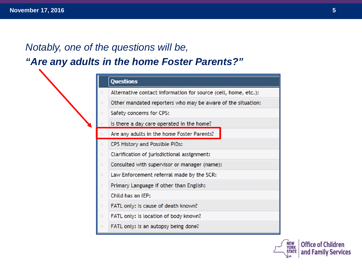## *Notably, one of the questions will be, "Are any adults in the home Foster Parents?"*

| <b>Questions</b>                                               |
|----------------------------------------------------------------|
| Alternative contact information for source (cell, home, etc.): |
| Other mandated reporters who may be aware of the situation:    |
| Safety concerns for CPS:                                       |
| Is there a day care operated in the home?                      |
| Are any adults in the home Foster Parents?                     |
| CPS History and Possible PIDs:                                 |
| Clarification of jurisdictional assignment:                    |
| Consulted with supervisor or manager (name):                   |
| Law Enforcement referral made by the SCR:                      |
| Primary Language if other than English:                        |
| Child has an IEP:                                              |
| FATL only: Is cause of death known?                            |
| FATL only: Is location of body known?                          |
| FATL only: Is an autopsy being done?                           |

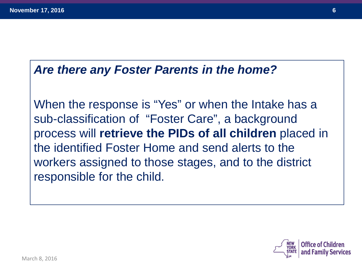#### *Are there any Foster Parents in the home?*

When the response is "Yes" or when the Intake has a sub-classification of "Foster Care", a background process will **retrieve the PIDs of all children** placed in the identified Foster Home and send alerts to the workers assigned to those stages, and to the district responsible for the child.

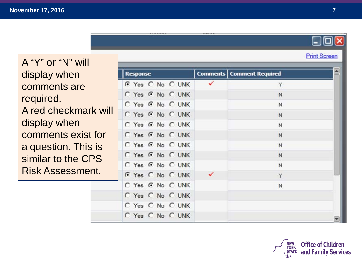|                         |                  |                                    | لعالجا              |
|-------------------------|------------------|------------------------------------|---------------------|
| A "Y" or "N" will       |                  |                                    | <b>Print Screen</b> |
| display when            | <b>Response</b>  | <b>Comments   Comment Required</b> |                     |
| comments are            | G Yes C No C UNK |                                    |                     |
| required.               | C Yes G No C UNK | N                                  |                     |
| A red checkmark will    | C Yes G No C UNK | N                                  |                     |
|                         | C Yes G No C UNK | $\mathbb{N}$                       |                     |
| display when            | C Yes G No C UNK | $\mathbb N$                        |                     |
| comments exist for      | C Yes G No C UNK | $\mathbb N$                        |                     |
| a question. This is     | C Yes G No C UNK | N                                  |                     |
| similar to the CPS      | C Yes G No C UNK | N                                  |                     |
| <b>Risk Assessment.</b> | C Yes G No C UNK | N                                  |                     |
|                         | G Yes C No C UNK | Y                                  |                     |
|                         | C Yes G No C UNK | N                                  |                     |
|                         | C Yes C No C UNK |                                    |                     |
|                         | C Yes C No C UNK |                                    |                     |
|                         | C Yes C No C UNK |                                    |                     |



**DEL**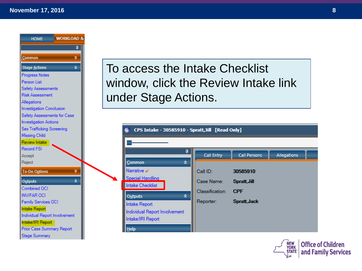

To access the Intake Checklist window, click the Review Intake link under Stage Actions.

| ņ<br>$\lambda$<br><b>Common</b>                                                                    | Call Entry                   | <b>Call Persons</b>        | Allegations |
|----------------------------------------------------------------------------------------------------|------------------------------|----------------------------|-------------|
| Narrative $\checkmark$<br><b>Special Handling</b><br><b>Intake Checklist</b>                       | Call ID:<br>Case Name:       | 30585910<br>Spratt, Jill   |             |
| $\lambda$<br>Outputs<br><b>Intake Report</b><br>Individual Report Involvement<br>Intake/IRI Report | Classification:<br>Reporter: | <b>CPF</b><br>Spratt, Jack |             |

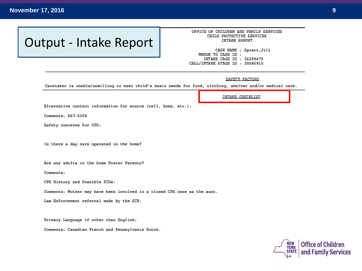#### **November 17, 2016 9**

## Output - Intake Report

#### OFFICE OF CHILDREN AND FAMILY SERVICES CHILD PROTECTIVE SERVICES **INTAKE REPORT**

CASE NAME : Spratt, Jill MERGE TO CASE ID : INTAKE CASE ID : 26299470 CALL/INTAKE STAGE ID : 30585910

#### **SAFETY FACTORS**

Caretaker is unable/unwilling to meet child's basic needs for food, clothing, shelter and/or medical care.

Alternative contact information for source (cell, home, etc.):

Comments: 867-5309

Safety concerns for CPS:

Is there a day care operated in the home?

Are any adults in the home Foster Parents?

Comments:

CPS History and Possible PIDs:

Comments: Mother may have been involved in a closed CPS case as the aunt.

Law Enforcement referral made by the SCR:

Primary Language if other than English:

Comments: Canadian French and Pennsylvania Dutch.



**INTAKE CHECKLIST**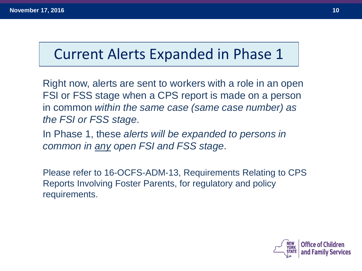## Current Alerts Expanded in Phase 1

Right now, alerts are sent to workers with a role in an open FSI or FSS stage when a CPS report is made on a person in common *within the same case (same case number) as the FSI or FSS stage*.

In Phase 1, these *alerts will be expanded to persons in common in any open FSI and FSS stage*.

Please refer to 16-OCFS-ADM-13, Requirements Relating to CPS Reports Involving Foster Parents, for regulatory and policy requirements.

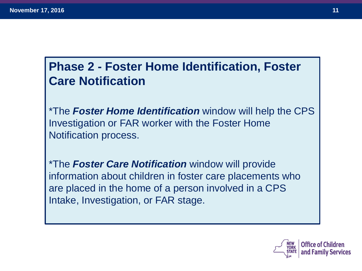## **Phase 2 - Foster Home Identification, Foster Care Notification**

\*The *Foster Home Identification* window will help the CPS Investigation or FAR worker with the Foster Home Notification process.

\*The *Foster Care Notification* window will provide information about children in foster care placements who are placed in the home of a person involved in a CPS Intake, Investigation, or FAR stage.

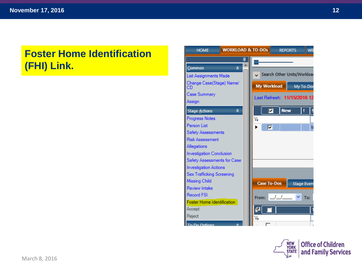#### **Foster Home Identification (FHI) Link.**



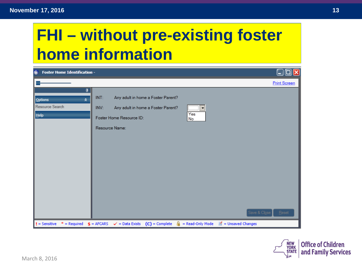# **FHI – without pre-existing foster home information**

| $\underline{\textbf{G}}$<br><b>Foster Home Identification -</b> |                                                                                                                                                                          | 0<br>$\mathbf{x}$<br>لعا |
|-----------------------------------------------------------------|--------------------------------------------------------------------------------------------------------------------------------------------------------------------------|--------------------------|
|                                                                 |                                                                                                                                                                          | <b>Print Screen</b>      |
| ą<br><b>Options</b><br>$\lambda$<br>Resource Search<br>He       | INT:<br>Any adult in home a Foster Parent?<br><b></b><br>INV:<br>Any adult in home a Foster Parent?<br>▼<br>.<br>Yes<br>Foster Home Resource ID:<br>No<br>Resource Name: |                          |
| $!=$ Sensitive<br>$*$ = Required $$$ = AFCARS                   | $\blacksquare$ = Unsaved Changes<br>$\checkmark$ = Data Exists (C) = Complete<br>A<br>= Read-Only Mode                                                                   | Save & Close<br>Reset    |

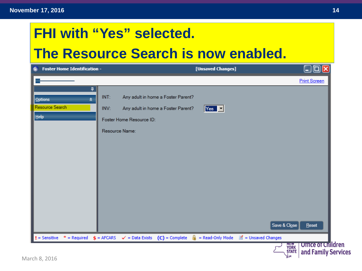## **FHI with "Yes" selected.**

## **The Resource Search is now enabled.**

|                                                     | <b>Foster Home Identification -</b>                                                                                                    | [Unsaved Changes]                                         | رص<br>н               |
|-----------------------------------------------------|----------------------------------------------------------------------------------------------------------------------------------------|-----------------------------------------------------------|-----------------------|
|                                                     |                                                                                                                                        |                                                           | <b>Print Screen</b>   |
| ą<br><b>Options</b><br>ヘ<br>Resource Search<br>Help | INT:<br>Any adult in home a Foster Parent?<br>Any adult in home a Foster Parent?<br>INV:<br>Foster Home Resource ID:<br>Resource Name: | $Yes \n2$                                                 |                       |
|                                                     |                                                                                                                                        |                                                           |                       |
|                                                     |                                                                                                                                        |                                                           | Save & Close<br>Reset |
|                                                     | $$ =$ AFCARS<br>$(C)$ = Complete                                                                                                       | А<br>= Read-Only Mode<br>$\blacksquare$ = Unsaved Changes |                       |

 $\sim$  รับสันย์ | and Family Services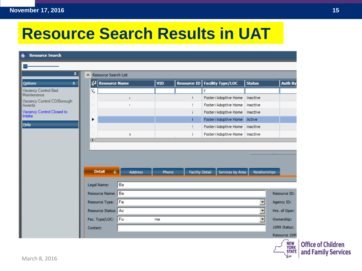# **Resource Search Results in UAT**

| ņ                          |                                      | Resource Search List  |                            |    |            |                        |                                 |               |                |
|----------------------------|--------------------------------------|-----------------------|----------------------------|----|------------|------------------------|---------------------------------|---------------|----------------|
| ☆                          | F                                    | <b>Resource Name</b>  |                            |    | <b>VID</b> | <b>Resource ID</b>     | <b>Facility Type/LOC</b>        | <b>Status</b> | <b>Auth By</b> |
| Vacancy Control Bed        | $\overline{\mathbf{Y}}_{\mathbf{x}}$ |                       |                            |    |            |                        | f                               |               |                |
| Vacancy Control CD/Borough |                                      |                       |                            |    |            |                        | Foster/Adoptive Home            | Inactive      |                |
|                            | ъ                                    |                       |                            |    |            | ŧ.                     | Foster/Adoptive Home            | Inactive      |                |
| Vacancy Control Closed to  | ъ                                    |                       |                            |    |            |                        | Foster/Adoptive Home            | Inactive      |                |
|                            | ▶                                    |                       |                            |    |            |                        | Foster/Adoptive Home Active     |               |                |
|                            | ъ                                    |                       |                            |    |            | ŧ.                     | Foster/Adoptive Home   Inactive |               |                |
|                            | ь                                    |                       | a.                         |    |            |                        | Foster/Adoptive Home   Inactive |               |                |
|                            | $\overline{\blacksquare}$            |                       |                            |    |            |                        |                                 |               |                |
|                            |                                      | <b>Detail</b>         | $\theta$<br><b>Address</b> |    | Phone      | <b>Facility Detail</b> | Services by Area                | Relationships |                |
|                            |                                      | Legal Name:           | Ba                         |    |            |                        |                                 |               |                |
|                            |                                      | <b>Resource Name:</b> | Ba                         |    |            |                        |                                 |               | Resource ID:   |
|                            |                                      | Resource Type:        | Fa                         |    |            |                        |                                 |               | Agency ID:     |
|                            |                                      | Resource Status: Ac   |                            |    |            |                        |                                 |               | Hrs. of Oper:  |
|                            |                                      | Fac. Type/LOC:        | Fo:                        | me |            |                        |                                 | ▾∣            | Ownership:     |
|                            | Contact:                             |                       |                            |    |            |                        |                                 |               | 1099 Status:   |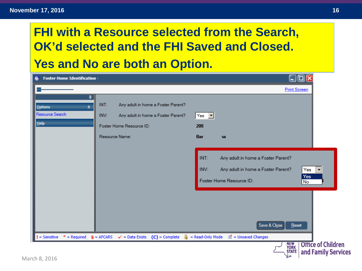#### **November 17, 2016 17, 2016 16, 2017 16, 2018 16, 2018 16, 2018 16, 2018 16**

## **FHI with a Resource selected from the Search, OK'd selected and the FHI Saved and Closed. Yes and No are both an Option.**

| <b>Foster Home Identification -</b><br>₲               |                                                                                                                                        | $\Box$ $\Box$                                                                                                                                                        |
|--------------------------------------------------------|----------------------------------------------------------------------------------------------------------------------------------------|----------------------------------------------------------------------------------------------------------------------------------------------------------------------|
|                                                        |                                                                                                                                        | <b>Print Screen</b>                                                                                                                                                  |
| ņ<br><b>Options</b><br>☆<br>Resource Search<br>$He$ lp | INT:<br>Any adult in home a Foster Parent?<br>INV:<br>Any adult in home a Foster Parent?<br>Foster Home Resource ID:<br>Resource Name: | Yes $\sqrt{}$<br>209<br>Bar<br>na                                                                                                                                    |
|                                                        |                                                                                                                                        | INT:<br>Any adult in home a Foster Parent?<br>INV:<br>Any adult in home a Foster Parent?<br>Yes<br>$\overline{\phantom{a}}$<br>Yes<br>Foster Home Resource ID:<br>No |
|                                                        |                                                                                                                                        | Save & Close<br>Reset                                                                                                                                                |
| $!=$ Sensitive<br>$*$ = Required                       | $\oint$ = AFCARS $\checkmark$ = Data Exists $(C)$ = Complete                                                                           | $\frac{6}{24}$ = Read-Only Mode<br>$\blacksquare'$ = Unsaved Changes<br><b>Office of Children</b><br><b>NEW</b><br>YORK<br><b>STATE</b><br>and Family Services       |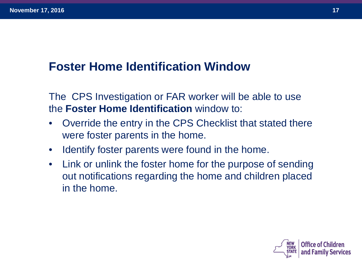## **Foster Home Identification Window**

The CPS Investigation or FAR worker will be able to use the **Foster Home Identification** window to:

- Override the entry in the CPS Checklist that stated there were foster parents in the home.
- Identify foster parents were found in the home.
- Link or unlink the foster home for the purpose of sending out notifications regarding the home and children placed in the home.

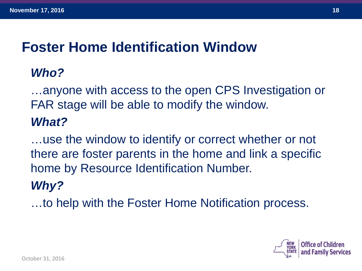## **Foster Home Identification Window**

## *Who?*

…anyone with access to the open CPS Investigation or FAR stage will be able to modify the window.

## *What?*

…use the window to identify or correct whether or not there are foster parents in the home and link a specific home by Resource Identification Number.

## *Why?*

…to help with the Foster Home Notification process.

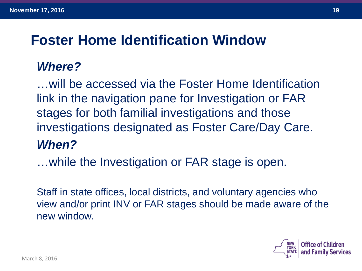## **Foster Home Identification Window**

### *Where?*

…will be accessed via the Foster Home Identification link in the navigation pane for Investigation or FAR stages for both familial investigations and those investigations designated as Foster Care/Day Care. *When?*

…while the Investigation or FAR stage is open.

Staff in state offices, local districts, and voluntary agencies who view and/or print INV or FAR stages should be made aware of the new window.

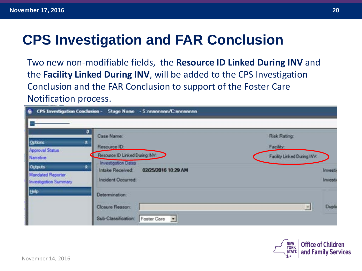# **CPS Investigation and FAR Conclusion**

Two new non-modifiable fields, the **Resource ID Linked During INV** and the **Facility Linked During INV**, will be added to the CPS Investigation Conclusion and the FAR Conclusion to support of the Foster Care Notification process.

| <b>CPS Investigation Conclusion -</b><br>G.                                                                                                    | Stage Name - S;nononnon/C;nononnon                                                                                                                                                                                                           |                                                         |                             |
|------------------------------------------------------------------------------------------------------------------------------------------------|----------------------------------------------------------------------------------------------------------------------------------------------------------------------------------------------------------------------------------------------|---------------------------------------------------------|-----------------------------|
| 퓌<br>Options<br>食<br><b>Approval Status</b><br><b>Narrative</b><br>R.<br>Outputs<br><b>Mandated Reporter</b><br>Investigation Summary<br>tielp | Case Name:<br>Resource ID:<br>Resource ID Linked During INV<br><b>Investigation Dates</b><br>Intake Received:<br>02/25/2016 10:29 AM<br><b>Incident Occurred:</b><br>Determination:<br>Closure Reason:<br>Sub-Classification:<br>Foster Care | Risk Rating<br>Facility:<br>Facility Linked During INV: | Investi<br>Imvesti<br>Duple |



November 14, 2016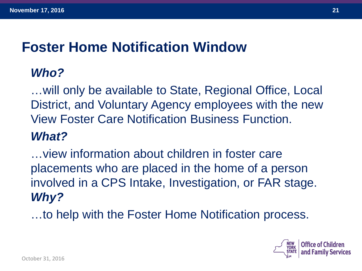## **Foster Home Notification Window**

## *Who?*

…will only be available to State, Regional Office, Local District, and Voluntary Agency employees with the new View Foster Care Notification Business Function.

## *What?*

…view information about children in foster care placements who are placed in the home of a person involved in a CPS Intake, Investigation, or FAR stage. *Why?*

…to help with the Foster Home Notification process.

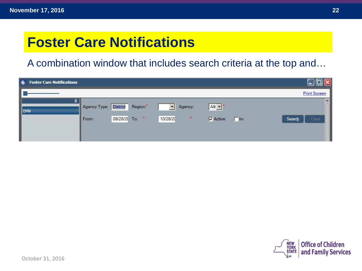## **Foster Care Notifications**

A combination window that includes search criteria at the top and…

| <b>Foster Care Notifications</b><br>G. |              |                      |                           |                                   |            |                     |
|----------------------------------------|--------------|----------------------|---------------------------|-----------------------------------|------------|---------------------|
|                                        |              |                      |                           |                                   |            | <b>Print Screen</b> |
| Help                                   | Agency Type: | Region.*<br>District | Agency:                   | $Alb$ $\blacktriangledown$        |            | 圓                   |
|                                        | From:        | 09/28/20 To: *       | $\mathcal{R}$<br>10/28/20 | $\overline{\triangledown}$ Active | $\Box$ lna | Clear<br>Search     |
|                                        |              |                      |                           |                                   |            |                     |

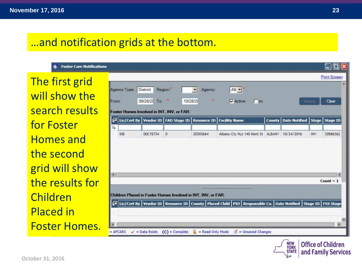#### …and notification grids at the bottom.

**Foster Care Notifications** 

The first grid will show the search results for Foster Homes and the second grid will show the results for Children Placed in Foster Homes.

|        |              |              |                                                                                                                 |              |                                                                                                       |                                           |        | <b>Print Screen</b>                                 |
|--------|--------------|--------------|-----------------------------------------------------------------------------------------------------------------|--------------|-------------------------------------------------------------------------------------------------------|-------------------------------------------|--------|-----------------------------------------------------|
|        |              |              |                                                                                                                 |              |                                                                                                       |                                           |        | $\triangle$                                         |
|        | Agency Type: | District     | Region.<br>$\mathcal{R}$                                                                                        | Agency:<br>思 | Alb $\blacktriangledown$                                                                              |                                           |        |                                                     |
| From:  |              | 09/28/2( To: | 10/28/20                                                                                                        |              | $\nabla$ Active<br>$\Box$ lna                                                                         |                                           | Search | Clear                                               |
|        |              |              | Foster Homes Involved in INT, INV, or FAR:<br>$\mathbb{E}^2$ Lic/Cert By Vendor ID   FAD Stage ID   Resource ID |              | <b>Facility Name</b>                                                                                  | County   Date Notified   Stage   Stage ID |        |                                                     |
| Y,     | 108          |              |                                                                                                                 |              |                                                                                                       |                                           |        |                                                     |
|        |              |              |                                                                                                                 |              |                                                                                                       |                                           |        |                                                     |
|        |              | 00C15734     | $\mathbf{0}$                                                                                                    | 20303664     | Albany Cty Nys 140 Kent St ALBANY 10/24/2016                                                          |                                           | INV    | 30586362                                            |
|        |              |              |                                                                                                                 |              |                                                                                                       |                                           |        |                                                     |
|        |              |              |                                                                                                                 |              |                                                                                                       |                                           |        |                                                     |
|        |              |              |                                                                                                                 |              |                                                                                                       |                                           |        |                                                     |
|        |              |              |                                                                                                                 |              |                                                                                                       |                                           |        | Count $= 1$                                         |
|        |              |              |                                                                                                                 |              | 111111                                                                                                |                                           |        |                                                     |
|        |              |              | Children Placed in Foster Homes Involved in INT, INV, or FAR:                                                   |              |                                                                                                       |                                           |        |                                                     |
|        |              |              |                                                                                                                 |              | Lic/Cert By   Vendor ID   Resource ID   County   Placed Child   PID   Responsible Co.   Date Notified |                                           |        | Stage ID   FSS Stage                                |
| $\Box$ |              |              |                                                                                                                 |              |                                                                                                       |                                           |        |                                                     |
|        |              |              |                                                                                                                 |              |                                                                                                       |                                           |        | $\overline{\phantom{a}}$<br>$\overline{\mathbf{r}}$ |



**Office of Children** and Family Services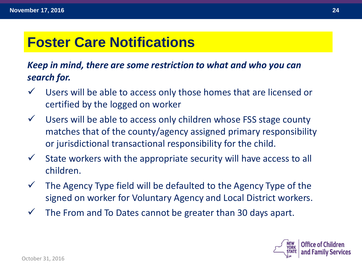## **Foster Care Notifications**

#### *Keep in mind, there are some restriction to what and who you can search for.*

- $\checkmark$  Users will be able to access only those homes that are licensed or certified by the logged on worker
- $\checkmark$  Users will be able to access only children whose FSS stage county matches that of the county/agency assigned primary responsibility or jurisdictional transactional responsibility for the child.
- $\checkmark$  State workers with the appropriate security will have access to all children.
- $\checkmark$  The Agency Type field will be defaulted to the Agency Type of the signed on worker for Voluntary Agency and Local District workers.
- $\checkmark$  The From and To Dates cannot be greater than 30 days apart.

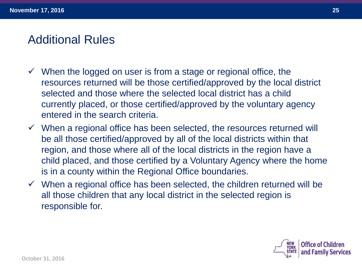## Additional Rules

- $\checkmark$  When the logged on user is from a stage or regional office, the resources returned will be those certified/approved by the local district selected and those where the selected local district has a child currently placed, or those certified/approved by the voluntary agency entered in the search criteria.
- $\checkmark$  When a regional office has been selected, the resources returned will be all those certified/approved by all of the local districts within that region, and those where all of the local districts in the region have a child placed, and those certified by a Voluntary Agency where the home is in a county within the Regional Office boundaries.
- $\checkmark$  When a regional office has been selected, the children returned will be all those children that any local district in the selected region is responsible for.

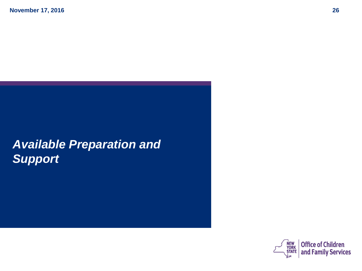## *Available Preparation and Support*

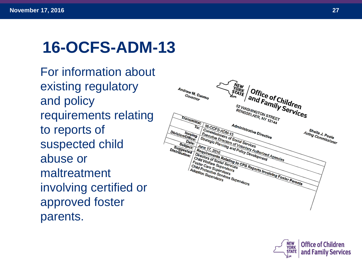# **16 -OCFS -ADM -13**

For information about existing regulatory and policy requirements relating to reports of suspected child abuse or maltreatment involving certified or approved foster parents.